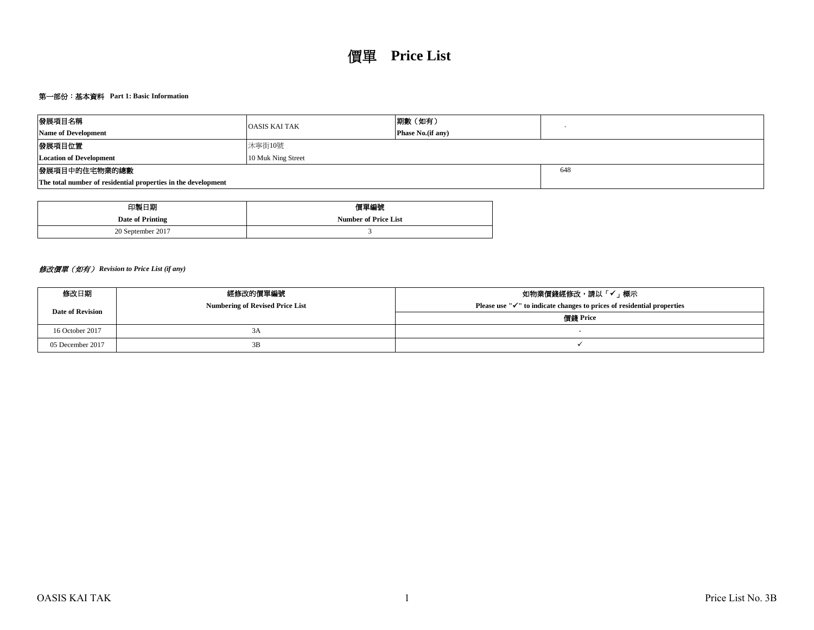# 第一部份:基本資料 **Part 1: Basic Information**

| 發展項目名稱                                                        | <b>OASIS KAI TAK</b> | 期數(如有)                    |     |  |  |  |  |  |  |
|---------------------------------------------------------------|----------------------|---------------------------|-----|--|--|--|--|--|--|
| <b>Name of Development</b>                                    |                      | <b>Phase No.</b> (if any) |     |  |  |  |  |  |  |
| 發展項目位置                                                        |                      |                           |     |  |  |  |  |  |  |
| <b>Location of Development</b>                                | 10 Muk Ning Street   |                           |     |  |  |  |  |  |  |
| 發展項目中的住宅物業的總數                                                 |                      |                           | 648 |  |  |  |  |  |  |
| The total number of residential properties in the development |                      |                           |     |  |  |  |  |  |  |

| 印製日期              | 價單編號                        |
|-------------------|-----------------------------|
| Date of Printing  | <b>Number of Price List</b> |
| 20 September 2017 |                             |

# 修改價單(如有) *Revision to Price List (if any)*

| 修改日期                    | 經修改的價單編號                               | 如物業價錢經修改,請以「✔」標示                                                                    |
|-------------------------|----------------------------------------|-------------------------------------------------------------------------------------|
| <b>Date of Revision</b> | <b>Numbering of Revised Price List</b> | Please use " $\checkmark$ " to indicate changes to prices of residential properties |
|                         |                                        | 價錢 Price                                                                            |
| 16 October 2017         | 3A                                     |                                                                                     |
| 05 December 2017        | 3B                                     |                                                                                     |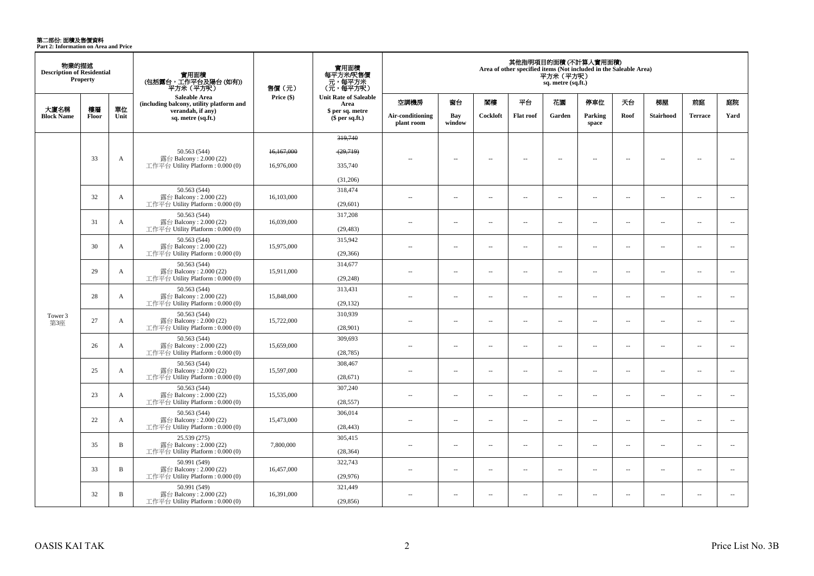**第二部份: 面積及售價資料**<br>Part 2: Information on Area and Price

| 物業的描述<br><b>Description of Residential</b> | <b>Property</b> |              | 實用面積<br>(包括露台,工作平台及陽台 (如有))<br>平方米(平方呎)                                    | 售價 (元)     | 實用面積<br>每平方米/呎售價<br>- 元, 每平方米<br>(元, 每平方呎) |                                |                          |          |                          | 平方米 (平方呎)<br>sq. metre (sq.ft.) | 其他指明項目的面積 (不計算入實用面積)<br>Area of other specified items (Not included in the Saleable Area) |                          |                  |                          |                          |
|--------------------------------------------|-----------------|--------------|----------------------------------------------------------------------------|------------|--------------------------------------------|--------------------------------|--------------------------|----------|--------------------------|---------------------------------|-------------------------------------------------------------------------------------------|--------------------------|------------------|--------------------------|--------------------------|
|                                            |                 |              | Saleable Area<br>(including balcony, utility platform and                  | Price (\$) | <b>Unit Rate of Saleable</b><br>Area       | 空調機房                           | 窗台                       | 閣樓       | 平台                       | 花園                              | 停車位                                                                                       | 天台                       | 梯屋               | 前庭                       | 庭院                       |
| 大廈名稱<br><b>Block Name</b>                  | 樓層<br>Floor     | 單位<br>Unit   | verandah, if any)<br>sq. metre (sq.ft.)                                    |            | \$ per sq. metre<br>\$per sq.ft.)          | Air-conditioning<br>plant room | Bay<br>window            | Cockloft | <b>Flat roof</b>         | Garden                          | Parking<br>space                                                                          | Roof                     | <b>Stairhood</b> | <b>Terrace</b>           | Yard                     |
|                                            |                 |              |                                                                            |            | 319,740                                    |                                |                          |          |                          |                                 |                                                                                           |                          |                  |                          |                          |
|                                            |                 |              |                                                                            |            |                                            |                                |                          |          |                          |                                 |                                                                                           |                          |                  |                          |                          |
|                                            | 33              | A            | 50.563 (544)<br>露台 Balcony: 2.000 (22)                                     | 16,167,000 | (29,719)                                   | $\overline{\phantom{a}}$       | $\overline{\phantom{a}}$ | $\sim$   | $\overline{\phantom{a}}$ | $\sim$                          | $\overline{\phantom{a}}$                                                                  | $\overline{\phantom{a}}$ | $\sim$           | $\overline{\phantom{a}}$ | $\overline{\phantom{a}}$ |
|                                            |                 |              | 工作平台 Utility Platform : 0.000 (0)                                          | 16.976.000 | 335,740                                    |                                |                          |          |                          |                                 |                                                                                           |                          |                  |                          |                          |
|                                            |                 |              |                                                                            |            | (31,206)                                   |                                |                          |          |                          |                                 |                                                                                           |                          |                  |                          |                          |
|                                            | 32              | $\mathbf{A}$ | 50.563 (544)<br>露台 Balcony: 2.000 (22)<br>工作平台 Utility Platform: 0.000 (0) | 16,103,000 | 318,474<br>(29,601)                        | $\sim$                         | $\overline{\phantom{a}}$ | $\sim$   | $\overline{\phantom{a}}$ | $\overline{\phantom{a}}$        | $\overline{\phantom{a}}$                                                                  | $\overline{\phantom{a}}$ | $\sim$           | $\overline{\phantom{a}}$ | $\overline{\phantom{a}}$ |
|                                            |                 |              | 50.563 (544)                                                               |            | 317,208                                    |                                |                          |          |                          |                                 |                                                                                           |                          |                  |                          |                          |
|                                            | 31              | $\mathbf{A}$ | 露台 Balcony: 2.000 (22)<br>工作平台 Utility Platform: 0.000 (0)                 | 16,039,000 | (29, 483)                                  | $\sim$ $\sim$                  | $\sim$                   | $\sim$   | $\sim$                   | $\sim$                          | $\overline{\phantom{a}}$                                                                  | $\sim$                   | $\sim$           | $\sim$                   | $\sim$                   |
|                                            | 30              | A            | 50.563 (544)<br>露台 Balcony: 2.000 (22)                                     | 15,975,000 | 315,942                                    | $\overline{a}$                 | $\overline{\phantom{a}}$ | $\sim$   | $\overline{a}$           | $\overline{a}$                  | $\overline{\phantom{a}}$                                                                  | $\overline{\phantom{a}}$ | $\sim$           | $\sim$                   | $\overline{\phantom{a}}$ |
|                                            |                 |              | 工作平台 Utility Platform: 0.000 (0)                                           |            | (29, 366)                                  |                                |                          |          |                          |                                 |                                                                                           |                          |                  |                          |                          |
|                                            | 29              | $\mathbf{A}$ | 50.563 (544)<br>露台 Balcony: 2.000 (22)                                     |            | 314,677                                    | $\overline{a}$                 | $\overline{\phantom{a}}$ | $\sim$   | μ.                       | $\overline{a}$                  | $\sim$                                                                                    | $\overline{\phantom{a}}$ | $\sim$           | $\sim$                   | $\overline{\phantom{a}}$ |
|                                            |                 |              | 工作平台 Utility Platform: 0.000 (0)                                           | 15,911,000 | (29, 248)                                  |                                |                          |          |                          |                                 |                                                                                           |                          |                  |                          |                          |
|                                            | 28              | $\mathbf{A}$ | 50.563 (544)<br>露台 Balcony: 2.000 (22)                                     | 15,848,000 | 313,431                                    | $\overline{a}$                 | $\overline{a}$           | $\sim$   | $\sim$                   | $\sim$                          | $\sim$                                                                                    | $\overline{\phantom{a}}$ | $\sim$           | $\overline{a}$           | $\sim$                   |
|                                            |                 |              | 工作平台 Utility Platform: 0.000 (0)                                           |            | (29, 132)                                  |                                |                          |          |                          |                                 |                                                                                           |                          |                  |                          |                          |
| Tower 3                                    | 27              | $\mathbf{A}$ | 50.563 (544)<br>露台 Balcony: 2.000 (22)                                     | 15,722,000 | 310,939                                    | $\sim$                         | $\sim$                   | $\sim$   | $\sim$                   | $\sim$                          | $\sim$                                                                                    | $\sim$                   | $\sim$           | $\overline{a}$           | $\sim$                   |
| 第3座                                        |                 |              | 工作平台 Utility Platform : 0.000 (0)                                          |            | (28,901)                                   |                                |                          |          |                          |                                 |                                                                                           |                          |                  |                          |                          |
|                                            | 26              | A            | 50.563 (544)<br>露台 Balcony: 2.000 (22)                                     | 15,659,000 | 309,693                                    | $\overline{a}$                 | $\overline{\phantom{a}}$ | $\sim$   | $\overline{\phantom{a}}$ | $\overline{\phantom{a}}$        | $\overline{\phantom{a}}$                                                                  | $\sim$                   | ÷.               | $\overline{\phantom{a}}$ | $\sim$                   |
|                                            |                 |              | 工作平台 Utility Platform : $0.000(0)$                                         |            | (28, 785)                                  |                                |                          |          |                          |                                 |                                                                                           |                          |                  |                          |                          |
|                                            | 25              | A            | 50.563 (544)<br>露台 Balcony: 2.000 (22)                                     | 15,597,000 | 308,467                                    | $\overline{a}$                 | $\overline{\phantom{a}}$ | $\sim$   | μ.                       | μ.                              | $\sim$                                                                                    | $\overline{\phantom{a}}$ | ÷.               | $\overline{\phantom{a}}$ | $\sim$                   |
|                                            |                 |              | 工作平台 Utility Platform : $0.000(0)$                                         |            | (28,671)                                   |                                |                          |          |                          |                                 |                                                                                           |                          |                  |                          |                          |
|                                            | 23              | A            | 50.563 (544)<br>露台 Balcony: 2.000 (22)                                     | 15,535,000 | 307,240                                    | $\sim$                         | $\sim$                   | $\sim$   | $\sim$                   | $\sim$                          | $\sim$                                                                                    | $\overline{\phantom{a}}$ | $\sim$           | $\overline{a}$           | $\sim$                   |
|                                            |                 |              | 工作平台 Utility Platform : 0.000 (0)                                          |            | (28, 557)                                  |                                |                          |          |                          |                                 |                                                                                           |                          |                  |                          |                          |
|                                            | 22              | A            | 50.563 (544)<br>露台 Balcony: 2.000 (22)                                     | 15,473,000 | 306,014                                    | $\sim$                         | $\sim$                   | $\sim$   | μ.                       | $\sim$                          | $\sim$                                                                                    | $\sim$                   | $\sim$           | $\sim$                   | $\overline{\phantom{a}}$ |
|                                            |                 |              | 工作平台 Utility Platform: 0.000 (0)                                           |            | (28, 443)                                  |                                |                          |          |                          |                                 |                                                                                           |                          |                  |                          |                          |
|                                            | 35              | $\, {\bf B}$ | 25.539 (275)<br>露台 Balcony: 2.000 (22)                                     | 7,800,000  | 305,415                                    | ÷.                             | $\sim$                   | $\sim$   | μ.                       | μ.                              | $\sim$                                                                                    | $\overline{\phantom{a}}$ | ÷.               | $\sim$                   | $\sim$                   |
|                                            |                 |              | 工作平台 Utility Platform : $0.000(0)$                                         |            | (28, 364)                                  |                                |                          |          |                          |                                 |                                                                                           |                          |                  |                          |                          |
|                                            | 33              | $\, {\bf B}$ | 50.991 (549)<br>露台 Balcony: 2.000 (22)                                     | 16,457,000 | 322,743                                    | $\overline{a}$                 | $\overline{\phantom{a}}$ | $\sim$   | $\overline{a}$           | $\overline{\phantom{a}}$        | $\overline{\phantom{a}}$                                                                  | $\overline{\phantom{a}}$ | $\sim$           | $\sim$                   | $\overline{\phantom{a}}$ |
|                                            |                 |              | 工作平台 Utility Platform: 0.000 (0)                                           |            | (29,976)                                   |                                |                          |          |                          |                                 |                                                                                           |                          |                  |                          |                          |
|                                            | 32              | $\, {\bf B}$ | 50.991 (549)<br>露台 Balcony: $2.000(22)$                                    | 16,391,000 | 321,449                                    | $\sim$                         | $\sim$                   | $\sim$   | $\sim$                   | $\sim$                          | $\sim$                                                                                    | $\overline{\phantom{a}}$ | $\sim$           | $\sim$                   | $\sim$                   |
|                                            |                 |              | 工作平台 Utility Platform: 0.000 (0)                                           |            | (29, 856)                                  |                                |                          |          |                          |                                 |                                                                                           |                          |                  |                          |                          |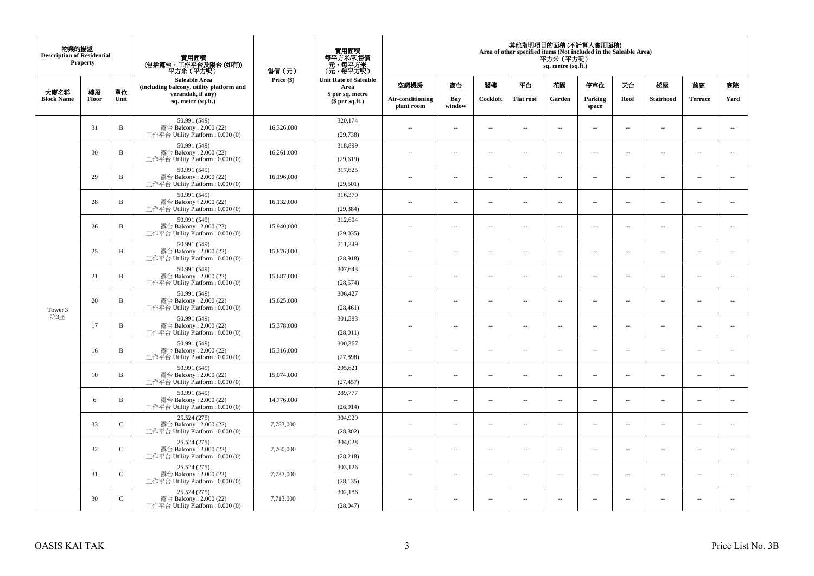| 物業的描述<br><b>Description of Residential</b> | Property |               | 實用面積<br>(包括露台,工作平台及陽台(如有))<br>平方米(平方呎)                                       | 售價(元)      | 實用面積<br>每平方米/呎售價<br>- 元, 每平方米<br>(元, 每平方呎) |                                |                          |                          |                  | 平方米 (平方呎)<br>sq. metre (sq.ft.) | 其他指明項目的面積 (不計算入實用面積)<br>Area of other specified items (Not included in the Saleable Area) |                          |                          |                          |                          |
|--------------------------------------------|----------|---------------|------------------------------------------------------------------------------|------------|--------------------------------------------|--------------------------------|--------------------------|--------------------------|------------------|---------------------------------|-------------------------------------------------------------------------------------------|--------------------------|--------------------------|--------------------------|--------------------------|
| 大廈名稱                                       | 樓層       | 單位            | <b>Saleable Area</b><br>(including balcony, utility platform and             | Price (\$) | <b>Unit Rate of Saleable</b><br>Area       | 空調機房                           | 窗台                       | 閣樓                       | 平台               | 花園                              | 停車位                                                                                       | 天台                       | 梯屋                       | 前庭                       | 庭院                       |
| <b>Block Name</b>                          | Floor    | Unit          | verandah, if any)<br>sq. metre (sq.ft.)                                      |            | \$ per sq. metre<br>\$per sq.ft.)          | Air-conditioning<br>plant room | Bay<br>window            | Cockloft                 | <b>Flat</b> roof | Garden                          | Parking<br>space                                                                          | Roof                     | Stairhood                | <b>Terrace</b>           | Yard                     |
|                                            | 31       | $\, {\bf B}$  | 50.991 (549)<br>露台 Balcony: 2.000 (22)<br>工作平台 Utility Platform: 0.000 (0)   | 16,326,000 | 320,174<br>(29, 738)                       | $\ddot{\phantom{a}}$           | $\overline{\phantom{a}}$ | $\sim$                   | μ.               | $\sim$                          | $\sim$                                                                                    | $\overline{\phantom{a}}$ | Ξ.                       | $\ddot{\phantom{a}}$     | $\sim$                   |
|                                            | 30       | $\, {\bf B}$  | 50.991 (549)<br>露台 Balcony: 2.000 (22)<br>工作平台 Utility Platform: 0.000 (0)   | 16,261,000 | 318,899<br>(29,619)                        | $\sim$                         | $\overline{a}$           | $\sim$                   | $\sim$           | $\sim$                          | $\sim$                                                                                    | $\sim$                   | $\sim$                   | $\sim$                   | $\mathbf{u}$             |
|                                            | 29       | $\, {\bf B}$  | 50.991 (549)<br>露台 Balcony: 2.000 (22)<br>工作平台 Utility Platform : 0.000 (0)  | 16,196,000 | 317,625<br>(29, 501)                       | $\overline{\phantom{a}}$       | $\overline{\phantom{a}}$ | $\overline{\phantom{a}}$ | --               | $\overline{\phantom{a}}$        | $\overline{\phantom{a}}$                                                                  | $\overline{\phantom{a}}$ | $\overline{\phantom{a}}$ | $\overline{\phantom{a}}$ | $\overline{\phantom{a}}$ |
|                                            | 28       | B             | 50.991 (549)<br>露台 Balcony: 2.000 (22)<br>工作平台 Utility Platform: 0.000 (0)   | 16,132,000 | 316,370<br>(29, 384)                       | $\sim$                         | $\overline{\phantom{a}}$ | $\sim$                   | $\sim$           | $\overline{\phantom{a}}$        | $\sim$                                                                                    | $\sim$                   | $\sim$                   | $\overline{\phantom{a}}$ | $\sim$                   |
|                                            | 26       | B             | 50.991 (549)<br>露台 Balcony: 2.000 (22)<br>工作平台 Utility Platform: 0.000 (0)   | 15,940,000 | 312,604<br>(29, 035)                       |                                | μ.                       | ÷.                       | μ.               | $\sim$                          | $\sim$                                                                                    | $\sim$                   | Ξ.                       | $\ddot{\phantom{a}}$     | $\sim$                   |
|                                            | 25       | $\, {\bf B}$  | 50.991 (549)<br>露台 Balcony: 2.000 (22)<br>工作平台 Utility Platform: 0.000 (0)   | 15,876,000 | 311,349<br>(28,918)                        | ×.                             | $\sim$                   | $\sim$                   | $\sim$           | $\sim$                          | $\sim$                                                                                    | $\sim$                   | $\overline{a}$           | $\sim$                   | $\sim$                   |
|                                            | 21       | $\, {\bf B}$  | 50.991 (549)<br>露台 Balcony: 2.000 (22)<br>工作平台 Utility Platform: 0.000 (0)   | 15,687,000 | 307,643<br>(28, 574)                       | $\sim$                         | $\overline{\phantom{a}}$ | $\sim$                   | μ.               | $\overline{\phantom{a}}$        | $\overline{\phantom{a}}$                                                                  | $\overline{\phantom{a}}$ | $\overline{\phantom{a}}$ | $\overline{\phantom{a}}$ | $\overline{\phantom{a}}$ |
| Tower 3                                    | 20       | $\, {\bf B}$  | 50.991 (549)<br>露台 Balcony: 2.000 (22)<br>工作平台 Utility Platform: 0.000 (0)   | 15,625,000 | 306,427<br>(28, 461)                       | $\sim$                         | $\overline{a}$           | $\sim$                   | $\sim$           | $\overline{a}$                  | $\sim$                                                                                    | $\overline{\phantom{a}}$ | $\overline{\phantom{a}}$ | $\sim$                   | $\sim$                   |
| 第3座                                        | 17       | $\, {\bf B}$  | 50.991 (549)<br>露台 Balcony: 2.000 (22)<br>工作平台 Utility Platform: 0.000 (0)   | 15,378,000 | 301,583<br>(28,011)                        | $\overline{\phantom{a}}$       | $\sim$                   | $\sim$                   | $\sim$           | $\sim$                          | $\sim$                                                                                    | $\overline{\phantom{a}}$ | $\overline{a}$           | $\sim$                   | $\ddot{\phantom{a}}$     |
|                                            | 16       | $\, {\bf B}$  | 50.991 (549)<br>露台 Balcony: 2.000 (22)<br>工作平台 Utility Platform : 0.000 (0)  | 15,316,000 | 300,367<br>(27, 898)                       | $\sim$                         | $\sim$                   | $\sim$                   | $\sim$           | $\sim$ $\sim$                   | $\overline{\phantom{a}}$                                                                  | $\sim$                   | $\sim$                   | $\overline{\phantom{a}}$ | $\overline{\phantom{a}}$ |
|                                            | 10       | B             | 50.991 (549)<br>露台 Balcony: 2.000 (22)<br>工作平台 Utility Platform : 0.000 (0)  | 15,074,000 | 295,621<br>(27, 457)                       |                                | $\overline{\phantom{a}}$ | $\sim$                   | μ.               | $\sim$                          | $\sim$                                                                                    | $\overline{\phantom{a}}$ | Ξ.                       | $\ddot{\phantom{a}}$     | $\sim$                   |
|                                            | 6        | B             | 50.991 (549)<br>露台 Balcony: 2.000 (22)<br>工作平台 Utility Platform : 0.000 (0)  | 14,776,000 | 289,777<br>(26,914)                        | $\sim$                         | $\overline{a}$           | $\sim$                   | $\sim$           | $\overline{a}$                  | $\sim$                                                                                    | $\overline{\phantom{a}}$ | $\overline{\phantom{a}}$ | $\sim$                   | $\sim$                   |
|                                            | 33       | $\mathsf C$   | 25.524 (275)<br>露台 Balcony: 2.000 (22)<br>工作平台 Utility Platform : 0.000 (0)  | 7,783,000  | 304,929<br>(28, 302)                       | 44                             | $\overline{\phantom{a}}$ | $\sim$                   | μ.               | $\overline{\phantom{a}}$        | $\sim$                                                                                    | $\overline{\phantom{a}}$ | Ξ.                       | $\ddot{\phantom{a}}$     | $\sim$                   |
|                                            | 32       | $\mathsf{C}$  | 25.524 (275)<br>露台 Balcony: 2.000 (22)<br>工作平台 Utility Platform : 0.000 (0)  | 7,760,000  | 304,028<br>(28, 218)                       | $\sim$                         | $\sim$                   | $\sim$                   | $\sim$           | $\sim$ $\sim$                   | $\sim$                                                                                    | $\sim$                   | $\sim$                   | $\sim$                   | $\sim$                   |
|                                            | 31       | $\mathcal{C}$ | 25.524 (275)<br>露台 Balcony: 2.000 (22)<br>工作平台 Utility Platform : $0.000(0)$ | 7,737,000  | 303,126<br>(28, 135)                       | $\sim$                         | $\overline{\phantom{a}}$ | $\sim$                   | μ.               | $\overline{\phantom{a}}$        | $\sim$                                                                                    | $\overline{\phantom{a}}$ | $\overline{\phantom{a}}$ | $\sim$                   | $\sim$                   |
|                                            | 30       | $\mathsf{C}$  | 25.524 (275)<br>露台 Balcony: 2.000 (22)<br>工作平台 Utility Platform: 0.000 (0)   | 7,713,000  | 302,186<br>(28,047)                        | $\sim$                         | $\sim$                   | $\sim$                   | $\sim$           | $\sim$ $\sim$                   | $\sim$                                                                                    | $\sim$                   | $\sim$                   | $\sim$                   | $\sim$                   |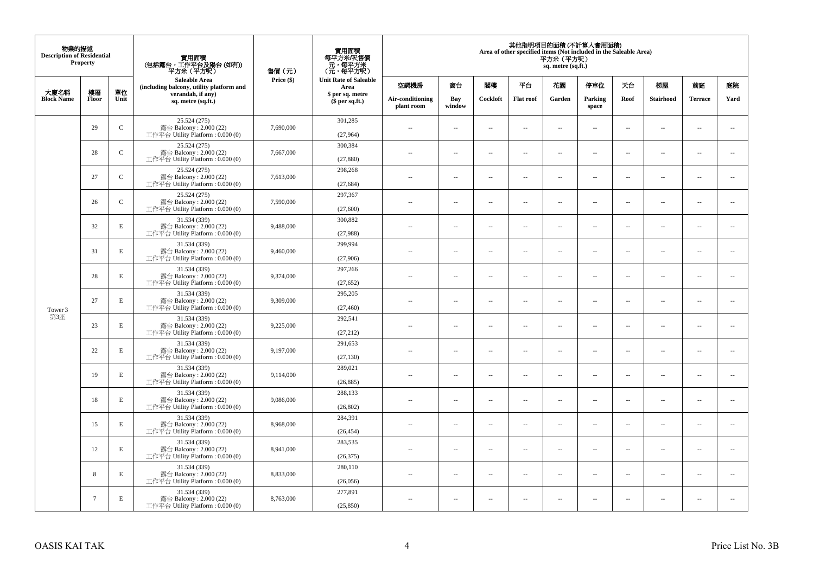| 物業的描述<br><b>Description of Residential</b> | <b>Property</b> |              | 實用面積<br>(包括露台,工作平台及陽台(如有))<br>平方米(平方呎)                                      | 售價(元)      | 實用面積<br>每平方米/呎售價<br>- 元, 每平方米<br>(元, 每平方呎) |                                |                          |                          |                          | 平方米 (平方呎)<br>sq. metre (sq.ft.) | 其他指明項目的面積 (不計算入實用面積)<br>Area of other specified items (Not included in the Saleable Area) |                          |                          |                          |                          |
|--------------------------------------------|-----------------|--------------|-----------------------------------------------------------------------------|------------|--------------------------------------------|--------------------------------|--------------------------|--------------------------|--------------------------|---------------------------------|-------------------------------------------------------------------------------------------|--------------------------|--------------------------|--------------------------|--------------------------|
| 大廈名稱                                       | 樓層              | 單位           | <b>Saleable Area</b><br>(including balcony, utility platform and            | Price (\$) | <b>Unit Rate of Saleable</b><br>Area       | 空調機房                           | 窗台                       | 閣樓                       | 平台                       | 花園                              | 停車位                                                                                       | 天台                       | 梯屋                       | 前庭                       | 庭院                       |
| <b>Block Name</b>                          | Floor           | Unit         | verandah, if any)<br>sq. metre (sq.ft.)                                     |            | \$ per sq. metre<br>\$per sq.ft.)          | Air-conditioning<br>plant room | Bay<br>window            | Cockloft                 | <b>Flat</b> roof         | Garden                          | Parking<br>space                                                                          | Roof                     | Stairhood                | <b>Terrace</b>           | Yard                     |
|                                            | 29              | $\mathsf{C}$ | 25.524 (275)<br>露台 Balcony: 2.000 (22)<br>工作平台 Utility Platform: 0.000 (0)  | 7,690,000  | 301,285<br>(27,964)                        | $\ddot{\phantom{a}}$           | $\overline{\phantom{a}}$ | $\sim$                   | μ.                       | $\sim$                          | $\sim$                                                                                    | $\overline{\phantom{a}}$ | Ξ.                       | $\ddot{\phantom{a}}$     | $\sim$                   |
|                                            | 28              | ${\bf C}$    | 25.524 (275)<br>露台 Balcony: 2.000 (22)<br>工作平台 Utility Platform: 0.000 (0)  | 7,667,000  | 300,384<br>(27, 880)                       | $\sim$                         | $\overline{a}$           | $\sim$                   | $\sim$                   | $\sim$                          | $\sim$                                                                                    | $\sim$                   | $\sim$                   | $\sim$                   | $\mathbf{u}$             |
|                                            | 27              | $\mathbf C$  | 25.524 (275)<br>露台 Balcony: 2.000 (22)<br>工作平台 Utility Platform : 0.000 (0) | 7,613,000  | 298,268<br>(27, 684)                       | $\overline{\phantom{a}}$       | $\overline{\phantom{a}}$ | $\overline{\phantom{a}}$ | --                       | $\overline{\phantom{a}}$        | $\overline{\phantom{a}}$                                                                  | $\overline{\phantom{a}}$ | $\overline{\phantom{a}}$ | $\overline{\phantom{a}}$ | $\overline{\phantom{a}}$ |
|                                            | 26              | $\mathsf{C}$ | 25.524 (275)<br>露台 Balcony: 2.000 (22)<br>工作平台 Utility Platform: 0.000 (0)  | 7,590,000  | 297,367<br>(27,600)                        | $\sim$                         | $\overline{\phantom{a}}$ | $\sim$                   | $\sim$                   | $\overline{\phantom{a}}$        | $\sim$                                                                                    | $\sim$                   | $\sim$                   | $\overline{\phantom{a}}$ | $\overline{\phantom{a}}$ |
|                                            | 32              | $\mathbf E$  | 31.534 (339)<br>露台 Balcony: 2.000 (22)<br>工作平台 Utility Platform: 0.000 (0)  | 9,488,000  | 300,882<br>(27,988)                        |                                | μ.                       | ÷.                       | μ.                       | $\sim$                          | $\sim$                                                                                    | $\sim$                   | Ξ.                       | $\ddot{\phantom{a}}$     | $\sim$                   |
|                                            | 31              | $\mathbf E$  | 31.534 (339)<br>露台 Balcony: 2.000 (22)<br>工作平台 Utility Platform: 0.000 (0)  | 9,460,000  | 299,994<br>(27,906)                        | ×.                             | $\sim$                   | $\sim$                   | $\sim$                   | $\sim$                          | $\sim$                                                                                    | $\sim$                   | $\overline{a}$           | $\sim$                   | $\sim$                   |
|                                            | 28              | E            | 31.534 (339)<br>露台 Balcony: 2.000 (22)<br>工作平台 Utility Platform: 0.000 (0)  | 9,374,000  | 297,266<br>(27, 652)                       | $\sim$                         | $\overline{\phantom{a}}$ | $\sim$                   | $\overline{\phantom{a}}$ | $\overline{\phantom{a}}$        | $\overline{\phantom{a}}$                                                                  | $\overline{\phantom{a}}$ | $\overline{\phantom{a}}$ | $\overline{\phantom{a}}$ | $\overline{\phantom{a}}$ |
| Tower 3                                    | 27              | E            | 31.534 (339)<br>露台 Balcony: 2.000 (22)<br>工作平台 Utility Platform: 0.000 (0)  | 9,309,000  | 295,205<br>(27, 460)                       | $\sim$                         | $\overline{a}$           | $\sim$                   | $\sim$                   | $\overline{a}$                  | $\sim$                                                                                    | $\overline{\phantom{a}}$ | $\overline{\phantom{a}}$ | $\sim$                   | $\sim$                   |
| 第3座                                        | 23              | $\mathbf E$  | 31.534 (339)<br>露台 Balcony: 2.000 (22)<br>工作平台 Utility Platform: 0.000 (0)  | 9,225,000  | 292,541<br>(27, 212)                       | $\overline{\phantom{a}}$       | $\sim$                   | $\sim$                   | $\sim$                   | $\sim$                          | $\sim$                                                                                    | $\overline{\phantom{a}}$ | $\overline{a}$           | $\sim$                   | $\ddot{\phantom{a}}$     |
|                                            | 22              | $\mathbf E$  | 31.534 (339)<br>露台 Balcony: 2.000 (22)<br>工作平台 Utility Platform : 0.000 (0) | 9,197,000  | 291,653<br>(27, 130)                       | $\sim$                         | $\sim$                   | $\sim$                   | $\sim$                   | $\sim$ $\sim$                   | $\overline{\phantom{a}}$                                                                  | $\sim$                   | $\sim$                   | $\overline{\phantom{a}}$ | $\overline{\phantom{a}}$ |
|                                            | 19              | E            | 31.534 (339)<br>露台 Balcony: 2.000 (22)<br>工作平台 Utility Platform : 0.000 (0) | 9,114,000  | 289,021<br>(26, 885)                       |                                | $\overline{\phantom{a}}$ | $\sim$                   | μ.                       | $\sim$                          | $\sim$                                                                                    | $\overline{\phantom{a}}$ | Ξ.                       | $\ddot{\phantom{a}}$     | $\sim$                   |
|                                            | 18              | E            | 31.534 (339)<br>露台 Balcony: 2.000 (22)<br>工作平台 Utility Platform : 0.000 (0) | 9,086,000  | 288,133<br>(26, 802)                       | $\sim$                         | $\overline{a}$           | $\sim$                   | $\sim$                   | $\overline{a}$                  | $\sim$                                                                                    | $\overline{\phantom{a}}$ | $\overline{\phantom{a}}$ | $\sim$                   | $\sim$                   |
|                                            | 15              | $\mathbf E$  | 31.534 (339)<br>露台 Balcony: 2.000 (22)<br>工作平台 Utility Platform : 0.000 (0) | 8,968,000  | 284,391<br>(26, 454)                       | 44                             | $\overline{\phantom{a}}$ | $\sim$                   | μ.                       | $\overline{\phantom{a}}$        | $\sim$                                                                                    | $\overline{\phantom{a}}$ | Ξ.                       | $\ddot{\phantom{a}}$     | $\sim$                   |
|                                            | 12              | E            | 31.534 (339)<br>露台 Balcony: 2.000 (22)<br>工作平台 Utility Platform : 0.000 (0) | 8,941,000  | 283,535<br>(26, 375)                       | $\sim$                         | $\sim$                   | $\sim$                   | $\sim$                   | $\sim$ $\sim$                   | $\sim$                                                                                    | $\sim$                   | $\sim$                   | $\sim$                   | $\sim$                   |
|                                            | 8               | E            | 31.534 (339)<br>露台 Balcony: 2.000 (22)<br>工作平台 Utility Platform: 0.000 (0)  | 8,833,000  | 280,110<br>(26,056)                        | $\sim$                         | $\overline{\phantom{a}}$ | $\sim$                   | μ.                       | $\overline{\phantom{a}}$        | $\sim$                                                                                    | $\overline{\phantom{a}}$ | $\overline{\phantom{a}}$ | $\sim$                   | $\sim$                   |
|                                            | $\tau$          | E            | 31.534 (339)<br>露台 Balcony: 2.000 (22)<br>工作平台 Utility Platform: 0.000 (0)  | 8,763,000  | 277,891<br>(25, 850)                       | $\sim$                         | $\sim$                   | $\sim$                   | $\sim$                   | $\sim$ $\sim$                   | $\sim$                                                                                    | $\overline{\phantom{a}}$ | $\sim$                   | $\sim$                   | $\sim$                   |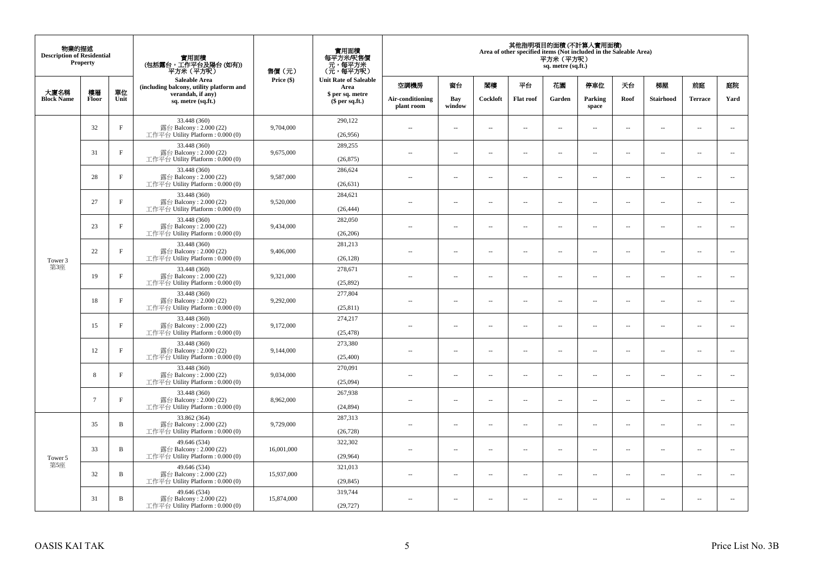| 物業的描述<br><b>Description of Residential</b><br><b>Property</b> |                 |              | 實用面積<br>(包括露台,工作平台及陽台(如有))<br>平方米 (平方呎)                                       | 售價(元)      | 實用面積<br>每平方米/呎售價<br>元,每平方米<br>(元,每平方呎) | 其他指明項目的面積 (不計算入實用面積)<br>Area of other specified items (Not included in the Saleable Area)<br>平方米 (平方呎)<br>sq. metre (sq.ft.) |                          |                          |                          |                          |                          |                          |                          |                |                          |  |  |
|---------------------------------------------------------------|-----------------|--------------|-------------------------------------------------------------------------------|------------|----------------------------------------|------------------------------------------------------------------------------------------------------------------------------|--------------------------|--------------------------|--------------------------|--------------------------|--------------------------|--------------------------|--------------------------|----------------|--------------------------|--|--|
|                                                               |                 |              | <b>Saleable Area</b><br>(including balcony, utility platform and              | Price (\$) | <b>Unit Rate of Saleable</b><br>Area   | 空調機房                                                                                                                         | 窗台                       | 閣樓                       | 平台                       | 花園                       | 停車位                      | 天台                       | 梯屋                       | 前庭             | 庭院                       |  |  |
| 大廈名稱<br><b>Block Name</b>                                     | 樓層<br>Floor     | 單位<br>Unit   | verandah, if any)<br>sq. metre (sq.ft.)                                       |            | \$ per sq. metre<br>$$$ per sq.ft.)    | Air-conditioning<br>plant room                                                                                               | Bay<br>window            | Cockloft                 | <b>Flat roof</b>         | Garden                   | Parking<br>space         | Roof                     | Stairhood                | <b>Terrace</b> | Yard                     |  |  |
|                                                               | 32              | $\rm F$      | 33.448 (360)<br>露台 Balcony: 2.000 (22)<br>工作平台 Utility Platform : 0.000 (0)   | 9,704,000  | 290,122<br>(26,956)                    | $\sim$                                                                                                                       | $\overline{\phantom{a}}$ | $\sim$                   | $\sim$                   | $\overline{a}$           | $\sim$                   | $\overline{\phantom{a}}$ | $\cdots$                 | $\sim$         | $\sim$                   |  |  |
|                                                               | 31              | $_{\rm F}$   | 33.448 (360)<br>露台 Balcony: 2.000 (22)<br>工作平台 Utility Platform: 0.000 (0)    | 9,675,000  | 289,255<br>(26, 875)                   | $\overline{\phantom{a}}$                                                                                                     | $\overline{\phantom{a}}$ | $\sim$                   | $\sim$                   | $\overline{a}$           | $\sim$                   | $\sim$                   | $\overline{\phantom{a}}$ | $\sim$         | $\sim$                   |  |  |
|                                                               | 28              | $_{\rm F}$   | 33.448 (360)<br>露台 Balcony: 2.000 (22)<br>工作平台 Utility Platform: 0.000 (0)    | 9,587,000  | 286,624<br>(26, 631)                   | $\sim$ $\sim$                                                                                                                | $\overline{\phantom{a}}$ | $\sim$                   | $\overline{\phantom{a}}$ | ш.                       | $\overline{\phantom{a}}$ | $\overline{\phantom{a}}$ | $\overline{\phantom{a}}$ | $\sim$         | $\overline{\phantom{a}}$ |  |  |
|                                                               | 27              | $_{\rm F}$   | 33.448 (360)<br>露台 Balcony: 2.000 (22)<br>工作平台 Utility Platform : $0.000(0)$  | 9,520,000  | 284,621<br>(26, 444)                   | $\sim$                                                                                                                       | $\overline{a}$           | $\sim$                   | $\sim$                   | $\sim$                   | $\sim$                   | $\sim$                   | $\sim$                   | $\sim$         | $\sim$                   |  |  |
|                                                               | 23              | $_{\rm F}$   | 33.448 (360)<br>露台 Balcony: 2.000 (22)<br>工作平台 Utility Platform : $0.000(0)$  | 9,434,000  | 282,050<br>(26, 206)                   |                                                                                                                              | $\sim$                   | ÷.                       | $\sim$                   | ш.                       | $\sim$                   | $\sim$                   | $\overline{\phantom{a}}$ | ÷.             | $\sim$                   |  |  |
| Tower 3                                                       | 22              | $_{\rm F}$   | 33.448 (360)<br>露台 Balcony: 2.000 (22)<br>工作平台 Utility Platform: 0.000 (0)    | 9,406,000  | 281,213<br>(26, 128)                   | ٠.                                                                                                                           | $\overline{\phantom{a}}$ | $\sim$                   | $\sim$                   | $\overline{\phantom{a}}$ | $\sim$                   | $\sim$                   | $\overline{\phantom{a}}$ | $\sim$         | $\sim$                   |  |  |
| 第3座                                                           | 19              | $\rm F$      | 33.448 (360)<br>露台 Balcony: 2.000 (22)<br>工作平台 Utility Platform : 0.000 (0)   | 9,321,000  | 278,671<br>(25,892)                    | $\sim$ $\sim$                                                                                                                | $\overline{\phantom{a}}$ | $\overline{\phantom{a}}$ | $\overline{\phantom{a}}$ | --                       | $\overline{\phantom{a}}$ | $\sim$                   | $\overline{\phantom{a}}$ | $\sim$         | $\sim$                   |  |  |
|                                                               | 18              | $_{\rm F}$   | 33.448 (360)<br>露台 Balcony: 2.000 (22)<br>工作平台 Utility Platform: 0.000 (0)    | 9,292,000  | 277,804<br>(25, 811)                   | $\sim$                                                                                                                       | $\overline{a}$           | $\sim$                   | $\sim$                   | $\sim$                   | $\sim$                   | $\sim$                   | $\sim$                   | $\sim$         | $\sim$                   |  |  |
|                                                               | 15              | $_{\rm F}$   | 33.448 (360)<br>露台 Balcony: $2.000(22)$<br>工作平台 Utility Platform : $0.000(0)$ | 9,172,000  | 274,217<br>(25, 478)                   | $-$                                                                                                                          | $\sim$                   | ÷.                       | $\sim$                   | $\overline{a}$           | $\sim$                   | $\overline{\phantom{a}}$ | $\overline{\phantom{a}}$ | $\sim$         | $\sim$                   |  |  |
|                                                               | 12              | $\rm F$      | 33.448 (360)<br>露台 Balcony: 2.000 (22)<br>工作平台 Utility Platform: 0.000 (0)    | 9,144,000  | 273,380<br>(25,400)                    | $\overline{\phantom{a}}$                                                                                                     | $\overline{\phantom{a}}$ | $\sim$                   | $\sim$                   | $\overline{a}$           | $\sim$                   | $\sim$                   | $\overline{\phantom{a}}$ | $\sim$         | $\sim$                   |  |  |
|                                                               | 8               | $\rm F$      | 33.448 (360)<br>露台 Balcony: 2.000 (22)<br>工作平台 Utility Platform: 0.000 (0)    | 9,034,000  | 270,091<br>(25,094)                    | $\overline{\phantom{a}}$                                                                                                     | $\overline{\phantom{a}}$ | $\sim$                   | $\sim$                   | μ.                       | $\overline{\phantom{a}}$ | $\overline{\phantom{a}}$ | $\overline{\phantom{a}}$ | $\sim$         | $\sim$                   |  |  |
|                                                               | $7\phantom{.0}$ | $\mathbf{F}$ | 33.448 (360)<br>露台 Balcony: 2.000 (22)<br>工作平台 Utility Platform: 0.000 (0)    | 8,962,000  | 267,938<br>(24, 894)                   | $\overline{a}$                                                                                                               | $\overline{\phantom{a}}$ | $\sim$                   | $\sim$                   | $\overline{\phantom{a}}$ | $\sim$                   | $\overline{\phantom{a}}$ | $\sim$                   | $\sim$         | $\sim$                   |  |  |
|                                                               | 35              | B            | 33.862 (364)<br>露台 Balcony: 2.000 (22)<br>工作平台 Utility Platform : $0.000(0)$  | 9,729,000  | 287,313<br>(26, 728)                   | $\overline{a}$                                                                                                               | $\sim$                   | $\sim$                   | $\sim$                   | μ.                       | $\sim$                   | $\sim$                   | $\overline{\phantom{a}}$ | $\sim$         | $\sim$                   |  |  |
| Tower 5                                                       | 33              | B            | 49.646 (534)<br>露台 Balcony: 2.000 (22)<br>工作平台 Utility Platform: 0.000 (0)    | 16,001,000 | 322,302<br>(29,964)                    | $\sim$                                                                                                                       | $\overline{\phantom{a}}$ | $\sim$                   | $\sim$                   | $\overline{a}$           | $\sim$                   | $\sim$                   | $\overline{\phantom{a}}$ | $\sim$         | $\sim$                   |  |  |
| 第5座                                                           | 32              | B            | 49.646 (534)<br>露台 Balcony: 2.000 (22)<br>工作平台 Utility Platform : $0.000(0)$  | 15,937,000 | 321,013<br>(29, 845)                   | $-$                                                                                                                          | $\overline{\phantom{a}}$ | $\sim$                   | $\sim$                   | ۰.                       | $\sim$                   | $\overline{\phantom{a}}$ | $\overline{\phantom{a}}$ | $\sim$         | $\sim$                   |  |  |
|                                                               | 31              | B            | 49.646 (534)<br>露台 Balcony: 2.000 (22)<br>工作平台 Utility Platform: 0.000 (0)    | 15,874,000 | 319,744<br>(29, 727)                   | ٠.                                                                                                                           | $\overline{\phantom{a}}$ | 4                        | $\overline{\phantom{a}}$ | --                       | $\sim$                   | $\overline{\phantom{a}}$ | $\overline{\phantom{a}}$ | $\sim$         | $\sim$                   |  |  |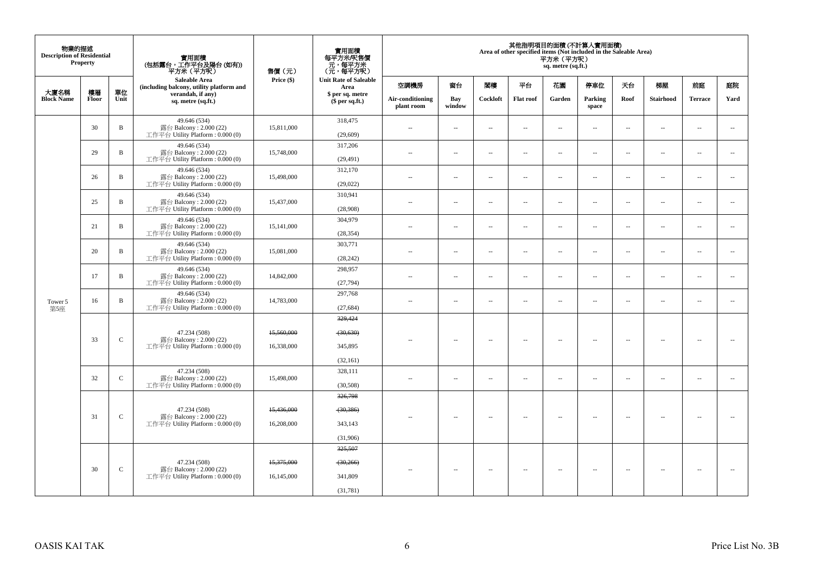| 物業的描述<br><b>Description of Residential</b> | Property    |               | 實用面積<br>(包括露台,工作平台及陽台(如有))<br>平方米(平方呎)                                       | 售價(元)      | 實用面積<br>每平方米/呎售價<br>ー・カバント<br>(元・每平方米)<br>(元・每平方呎) |               |                                |                      |                          | 平方米 (平方呎)<br>sq. metre (sq.ft.) | 其他指明項目的面積 (不計算入實用面積)<br>Area of other specified items (Not included in the Saleable Area) |                          |                          |           |                          |      |
|--------------------------------------------|-------------|---------------|------------------------------------------------------------------------------|------------|----------------------------------------------------|---------------|--------------------------------|----------------------|--------------------------|---------------------------------|-------------------------------------------------------------------------------------------|--------------------------|--------------------------|-----------|--------------------------|------|
|                                            |             |               | <b>Saleable Area</b><br>(including balcony, utility platform and             | Price (\$) | <b>Unit Rate of Saleable</b><br>Area               | 空調機房          | 窗台                             | 関樓                   | 平台                       | 花園                              | 停車位                                                                                       | 夭台                       | 梯屋                       | 前庭        | 庭院                       |      |
| 大廈名稱<br><b>Block Name</b>                  | 樓層<br>Floor | 單位<br>Unit    | verandah, if any)<br>sq. metre (sq.ft.)                                      |            | \$ per sq. metre<br>$$$ per sq.ft.)                |               | Air-conditioning<br>plant room | Bay<br>window        | Cockloft                 | <b>Flat roof</b>                | Garden                                                                                    | Parking<br>space         | Roof                     | Stairhood | <b>Terrace</b>           | Yard |
|                                            | 30          | $\mathbf B$   | 49.646 (534)<br>露台 Balcony: 2.000 (22)<br>工作平台 Utility Platform : $0.000(0)$ | 15,811,000 | 318,475<br>(29, 609)                               | ÷.            | $\sim$                         | $\sim$               | $\sim$                   | ш.                              | $\ddot{\phantom{a}}$                                                                      | $\overline{\phantom{a}}$ | $\overline{\phantom{a}}$ | $\bar{a}$ | $\sim$                   |      |
|                                            | 29          | B             | 49.646 (534)<br>露台 Balcony: 2.000 (22)<br>工作平台 Utility Platform: 0.000 (0)   | 15,748,000 | 317,206<br>(29, 491)                               | $\sim$        | ÷.                             | $\ddot{\phantom{a}}$ | $\sim$                   | $\overline{a}$                  | $\sim$                                                                                    | $\overline{\phantom{a}}$ | $\overline{a}$           | $\sim$    | $\sim$                   |      |
|                                            | 26          | B             | 49.646 (534)<br>露台 Balcony: 2.000 (22)<br>工作平台 Utility Platform: 0.000 (0)   | 15,498,000 | 312,170<br>(29, 022)                               | $\sim$        | $\overline{\phantom{a}}$       | $\sim$               | $\overline{\phantom{a}}$ | ш.                              | $\sim$                                                                                    | $\overline{\phantom{a}}$ | $\overline{\phantom{a}}$ | $\sim$    | $\sim$                   |      |
|                                            | 25          | B             | 49.646 (534)<br>露台 Balcony: 2.000 (22)<br>工作平台 Utility Platform : $0.000(0)$ | 15,437,000 | 310,941<br>(28,908)                                | $\sim$        | $\overline{\phantom{a}}$       | $\sim$               | $\sim$                   | $\overline{a}$                  | $\sim$                                                                                    | $\overline{\phantom{a}}$ | $\overline{\phantom{a}}$ | $\sim$    | $\sim$                   |      |
|                                            | 21          | B             | 49.646 (534)<br>露台 Balcony: 2.000 (22)<br>工作平台 Utility Platform : $0.000(0)$ | 15,141,000 | 304,979<br>(28, 354)                               | $\sim$        | $\sim$                         | $\sim$               | $\sim$                   | ш.                              | $\ddot{\phantom{a}}$                                                                      | $\sim$                   | $\overline{\phantom{a}}$ | $\bar{a}$ | $\sim$                   |      |
|                                            | 20          | B             | 49.646 (534)<br>露台 Balcony: 2.000 (22)<br>工作平台 Utility Platform: 0.000 (0)   | 15,081,000 | 303,771<br>(28, 242)                               | $\sim$ $-$    | $\sim$                         | $\sim$               | $\sim$                   | $\overline{\phantom{a}}$        | $\sim$                                                                                    | $\overline{\phantom{a}}$ | $\overline{\phantom{a}}$ | $\sim$    | $\sim$                   |      |
|                                            | 17          | B             | 49.646 (534)<br>露台 Balcony: 2.000 (22)<br>工作平台 Utility Platform: 0.000 (0)   | 14,842,000 | 298,957<br>(27,794)                                | $\sim$        | $\sim$                         | $\sim$               | $\sim$                   | $\overline{a}$                  | $\sim$                                                                                    | $\overline{\phantom{a}}$ | $\overline{\phantom{a}}$ | $\sim$    | $\sim$                   |      |
| Tower 5<br>第5座                             | 16          | B             | 49.646 (534)<br>露台 Balcony: 2.000 (22)<br>工作平台 Utility Platform: 0.000 (0)   | 14,783,000 | 297,768<br>(27, 684)                               | $\sim$        | $\sim$                         | $\sim$               | $\sim$                   | μ.                              | $\sim$                                                                                    | $\overline{\phantom{a}}$ | $\overline{\phantom{a}}$ | $\sim$    | $\sim$                   |      |
|                                            |             |               | 47.234 (508)                                                                 | 15,560,000 | 329,424<br>(30, 630)                               |               |                                |                      |                          |                                 |                                                                                           |                          |                          |           |                          |      |
|                                            | 33          | $\mathsf{C}$  | 露台 Balcony: 2.000 (22)<br>工作平台 Utility Platform : $0.000(0)$                 | 16,338,000 | 345,895<br>(32, 161)                               | $\sim$        | $\sim$                         | $\sim$               | $\sim$                   | $\overline{\phantom{a}}$        | $\sim$                                                                                    | $\overline{\phantom{a}}$ | $\overline{\phantom{a}}$ | $\sim$    | $\overline{\phantom{a}}$ |      |
|                                            | 32          | $\mathbf C$   | 47.234 (508)<br>露台 Balcony: 2.000 (22)<br>工作平台 Utility Platform : $0.000(0)$ | 15,498,000 | 328,111<br>(30,508)                                | $\sim$        | $\sim$                         | $\sim$               | $\sim$                   | $\overline{\phantom{a}}$        | $\sim$                                                                                    | $\overline{\phantom{a}}$ | $\overline{\phantom{a}}$ | $\sim$    | $\overline{\phantom{a}}$ |      |
|                                            |             |               | 47.234 (508)                                                                 | 15,436,000 | 326,798<br>(30, 386)                               |               |                                |                      |                          |                                 |                                                                                           |                          |                          |           |                          |      |
|                                            | 31          | $\mathcal{C}$ | 露台 Balcony: 2.000 (22)<br>工作平台 Utility Platform : $0.000(0)$                 | 16,208,000 | 343,143<br>(31,906)                                | $\sim$        | $\overline{\phantom{a}}$       | $\sim$               | $\overline{\phantom{a}}$ | $\overline{\phantom{a}}$        | $\sim$                                                                                    | $\sim$                   | $\sim$                   | н.        | $\sim$                   |      |
|                                            |             |               | 47.234 (508)                                                                 | 15,375,000 | 325,507<br>(30,266)                                |               |                                |                      |                          |                                 |                                                                                           |                          |                          |           |                          |      |
|                                            | 30          | $\mathbf C$   | 露台 Balcony: 2.000 (22)<br>工作平台 Utility Platform : $0.000(0)$                 | 16,145,000 | 341,809<br>(31,781)                                | $\sim$ $\sim$ | $\sim$                         | $\sim$               | $\sim$                   | $\overline{\phantom{a}}$        | $\sim$                                                                                    | $\overline{\phantom{a}}$ | $\sim$                   | $\sim$    |                          |      |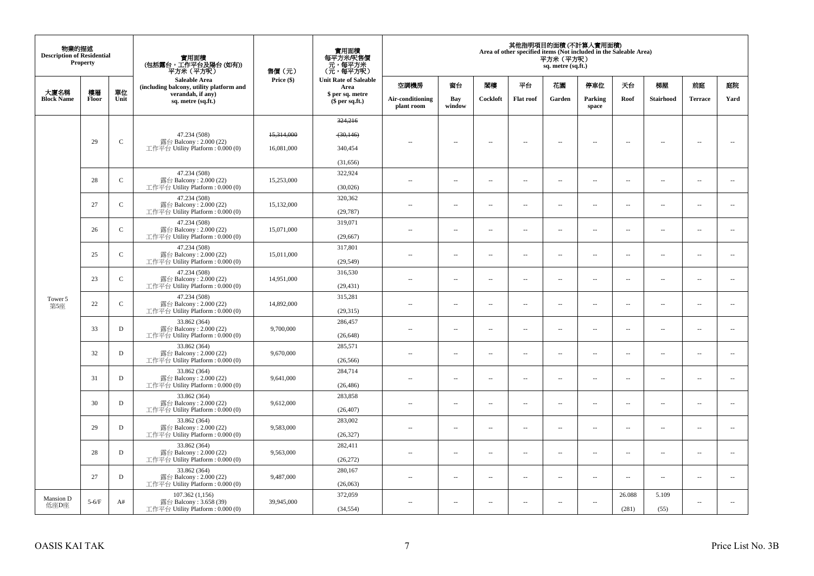| 物業的描述<br><b>Description of Residential</b> | <b>Property</b> |              | 實用面積<br>(包括露台,工作平台及陽台(如有))<br>平方米 (平方呎)                      | 售價(元)      | 實用面積<br>每平方米/呎售價<br>元,每平方米<br>(元,每平方呎) |                                |                          |                          |                          | 平方米 (平方呎)<br>sq. metre (sq.ft.) | 其他指明項目的面積 (不計算入實用面積)<br>Area of other specified items (Not included in the Saleable Area) |                          |                          |                          |                          |
|--------------------------------------------|-----------------|--------------|--------------------------------------------------------------|------------|----------------------------------------|--------------------------------|--------------------------|--------------------------|--------------------------|---------------------------------|-------------------------------------------------------------------------------------------|--------------------------|--------------------------|--------------------------|--------------------------|
|                                            |                 |              | Saleable Area<br>(including balcony, utility platform and    | Price (\$) | <b>Unit Rate of Saleable</b><br>Area   | 空調機房                           | 窗台                       | 閣樓                       | 平台                       | 花園                              | 停車位                                                                                       | 天台                       | 梯屋                       | 前庭                       | 庭院                       |
| 大廈名稱<br><b>Block Name</b>                  | 樓層<br>Floor     | 單位<br>Unit   | verandah, if any)<br>sq. metre (sq.ft.)                      |            | \$ per sq. metre<br>$$$ per sq.ft.)    | Air-conditioning<br>plant room | Bay<br>window            | Cockloft                 | <b>Flat roof</b>         | Garden                          | Parking<br>space                                                                          | Roof                     | Stairhood                | <b>Terrace</b>           | Yard                     |
|                                            |                 |              |                                                              |            | 324,216                                |                                |                          |                          |                          |                                 |                                                                                           |                          |                          |                          |                          |
|                                            |                 |              | 47.234 (508)                                                 | 15,314,000 | (30, 146)                              |                                |                          |                          |                          |                                 |                                                                                           |                          |                          |                          |                          |
|                                            | 29              | $\mathbf C$  | 露台 Balcony: 2.000 (22)<br>工作平台 Utility Platform: 0.000 (0)   | 16,081,000 | 340,454                                | $\sim$                         | $\sim$                   | $\overline{\phantom{a}}$ | $\sim$                   | $\sim$                          | $\sim$                                                                                    | $\sim$                   | $\sim$                   | --                       | $\sim$                   |
|                                            |                 |              |                                                              |            | (31,656)                               |                                |                          |                          |                          |                                 |                                                                                           |                          |                          |                          |                          |
|                                            |                 |              | 47.234 (508)                                                 |            | 322,924                                |                                |                          |                          |                          |                                 |                                                                                           |                          |                          |                          |                          |
|                                            | 28              | $\mathsf{C}$ | 露台 Balcony: 2.000 (22)<br>工作平台 Utility Platform: 0.000 (0)   | 15,253,000 | (30,026)                               | $\sim$ $\sim$                  | $\sim$                   | $\overline{\phantom{a}}$ | $\sim$                   | $\overline{\phantom{a}}$        | $\sim$                                                                                    | $\sim$                   | $\overline{\phantom{a}}$ | $\sim$                   | $\ddotsc$                |
|                                            | 27              | $\mathbf C$  | 47.234 (508)<br>露台 Balcony: 2.000 (22)                       | 15,132,000 | 320,362                                | 44                             | $\sim$                   | ÷.                       | $\sim$                   | μ.                              | $\sim$                                                                                    | $\overline{\phantom{a}}$ | $\overline{\phantom{a}}$ | $\sim$                   | $\overline{\phantom{a}}$ |
|                                            |                 |              | 工作平台 Utility Platform: 0.000 (0)                             |            | (29, 787)                              |                                |                          |                          |                          |                                 |                                                                                           |                          |                          |                          |                          |
|                                            | 26              | $\mathbf{C}$ | 47.234 (508)<br>露台 Balcony: 2.000 (22)                       | 15,071,000 | 319,071                                | $\sim$                         | $\sim$                   | 4                        | $\sim$                   | $\overline{\phantom{a}}$        | $\sim$                                                                                    | $\overline{\phantom{a}}$ | $\overline{\phantom{a}}$ | $\sim$                   | $\overline{\phantom{a}}$ |
|                                            |                 |              | 工作平台 Utility Platform: 0.000 (0)                             |            | (29, 667)                              |                                |                          |                          |                          |                                 |                                                                                           |                          |                          |                          |                          |
|                                            | 25              | $\mathbf{C}$ | 47.234 (508)<br>露台 Balcony: 2.000 (22)                       | 15,011,000 | 317,801                                | $\overline{a}$                 | $\overline{\phantom{a}}$ | $\sim$                   | $\sim$                   | μ.                              | $\sim$                                                                                    | $\overline{\phantom{a}}$ | $\overline{\phantom{a}}$ | $\sim$                   | $\sim$                   |
|                                            |                 |              | 工作平台 Utility Platform: 0.000 (0)                             |            | (29, 549)                              |                                |                          |                          |                          |                                 |                                                                                           |                          |                          |                          |                          |
|                                            | 23              | $\mathsf{C}$ | 47.234 (508)<br>露台 Balcony: 2.000 (22)                       | 14,951,000 | 316,530                                | $-$                            | $\overline{\phantom{a}}$ | $\overline{\phantom{a}}$ | $\sim$                   | $\overline{\phantom{a}}$        | $\sim$                                                                                    | $\sim$                   | $\overline{\phantom{a}}$ | $\sim$                   | $\sim$                   |
|                                            |                 |              | 工作平台 Utility Platform: 0.000 (0)<br>47.234 (508)             |            | (29, 431)<br>315,281                   |                                |                          |                          |                          |                                 |                                                                                           |                          |                          |                          |                          |
| Tower 5<br>第5座                             | 22              | $\mathsf{C}$ | 露台 Balcony: 2.000 (22)                                       | 14,892,000 |                                        | ٠.                             | $\overline{a}$           | $\sim$                   | <b>A</b>                 | $\overline{a}$                  | $\sim$                                                                                    | $\sim$                   | $\overline{\phantom{a}}$ | $\overline{\phantom{a}}$ | $\sim$                   |
|                                            |                 |              | 工作平台 Utility Platform: 0.000 (0)<br>33.862 (364)             |            | (29,315)<br>286,457                    |                                |                          |                          |                          |                                 |                                                                                           |                          |                          |                          |                          |
|                                            | 33              | D            | 露台 Balcony: 2.000 (22)<br>工作平台 Utility Platform : $0.000(0)$ | 9,700,000  | (26, 648)                              | $\sim$ $\sim$                  | $\overline{\phantom{a}}$ | $\overline{\phantom{a}}$ | $\overline{\phantom{a}}$ | $\overline{\phantom{a}}$        | $\overline{\phantom{a}}$                                                                  | $\sim$                   | $\overline{\phantom{a}}$ | $\sim$                   | $\overline{\phantom{a}}$ |
|                                            |                 |              | 33.862 (364)                                                 |            | 285,571                                |                                |                          |                          |                          |                                 |                                                                                           |                          |                          |                          |                          |
|                                            | 32              | D            | 露台 Balcony: 2.000 (22)<br>工作平台 Utility Platform: 0.000 (0)   | 9,670,000  | (26, 566)                              | $\sim$                         | $\overline{a}$           | $\overline{\phantom{a}}$ | $\sim$                   | $\sim$                          | $\sim$                                                                                    | $\sim$                   | $\overline{\phantom{a}}$ | $\sim$                   | $\sim$                   |
|                                            |                 |              | 33.862 (364)                                                 |            | 284,714                                |                                |                          |                          |                          |                                 |                                                                                           |                          |                          |                          |                          |
|                                            | 31              | D            | 露台 Balcony: $2.000(22)$<br>工作平台 Utility Platform: 0.000 (0)  | 9,641,000  | (26, 486)                              |                                | $\sim$                   | $\ddotsc$                | $\sim$                   | μ.                              | $\sim$                                                                                    | $\overline{\phantom{a}}$ | $\overline{\phantom{a}}$ | ÷.                       | $\overline{\phantom{a}}$ |
|                                            |                 |              | 33.862 (364)                                                 |            | 283,858                                |                                |                          |                          |                          |                                 |                                                                                           |                          |                          |                          |                          |
|                                            | 30              | D            | 露台 Balcony: 2.000 (22)<br>工作平台 Utility Platform: 0.000 (0)   | 9,612,000  | (26, 407)                              | $\sim$ $-$                     | $\sim$                   | $\sim$                   | $\sim$                   | $\overline{a}$                  | $\sim$                                                                                    | $\sim$                   | $\sim$                   | $\sim$                   | $\sim$                   |
|                                            | 29              | D            | 33.862 (364)                                                 | 9,583,000  | 283,002                                |                                |                          | $\sim$                   |                          |                                 |                                                                                           |                          |                          | $\sim$                   | $\sim$                   |
|                                            |                 |              | 露台 Balcony: 2.000 (22)<br>工作平台 Utility Platform: 0.000 (0)   |            | (26, 327)                              | $\overline{a}$                 | $\overline{\phantom{a}}$ |                          | $\sim$                   | μ.                              | $\sim$                                                                                    | $\sim$                   | $\overline{\phantom{a}}$ |                          |                          |
|                                            | 28              | D            | 33.862 (364)<br>露台 Balcony: 2.000 (22)                       | 9,563,000  | 282,411                                | $\overline{a}$                 | $\overline{\phantom{a}}$ | $\sim$                   | $\sim$                   | --                              | $\sim$                                                                                    | $\overline{\phantom{a}}$ | $\overline{\phantom{a}}$ | $\sim$                   | $\sim$                   |
|                                            |                 |              | 工作平台 Utility Platform: 0.000 (0)                             |            | (26, 272)                              |                                |                          |                          |                          |                                 |                                                                                           |                          |                          |                          |                          |
|                                            | 27              | D            | 33.862 (364)<br>露台 Balcony: 2.000 (22)                       | 9,487,000  | 280,167                                | $\overline{a}$                 | $\overline{\phantom{a}}$ | $\sim$                   | $\sim$                   | $\overline{\phantom{a}}$        | $\sim$                                                                                    | $\sim$                   | $\overline{\phantom{a}}$ | $\sim$                   | $\sim$                   |
|                                            |                 |              | 工作平台 Utility Platform : $0.000(0)$                           |            | (26,063)                               |                                |                          |                          |                          |                                 |                                                                                           |                          |                          |                          |                          |
| <b>Mansion D</b>                           | $5-6/F$         | A#           | 107.362 (1,156)<br>露台 Balcony: 3.658 (39)                    | 39,945,000 | 372,059                                | $\overline{\phantom{a}}$       | $\overline{\phantom{a}}$ | $\overline{\phantom{a}}$ | $\sim$                   | $\overline{\phantom{a}}$        | $\sim$                                                                                    | 26.088                   | 5.109                    | $\sim$                   |                          |
| 低座D座                                       |                 |              | 工作平台 Utility Platform : 0.000 (0)                            |            | (34, 554)                              |                                |                          |                          |                          |                                 |                                                                                           | (281)                    | (55)                     |                          |                          |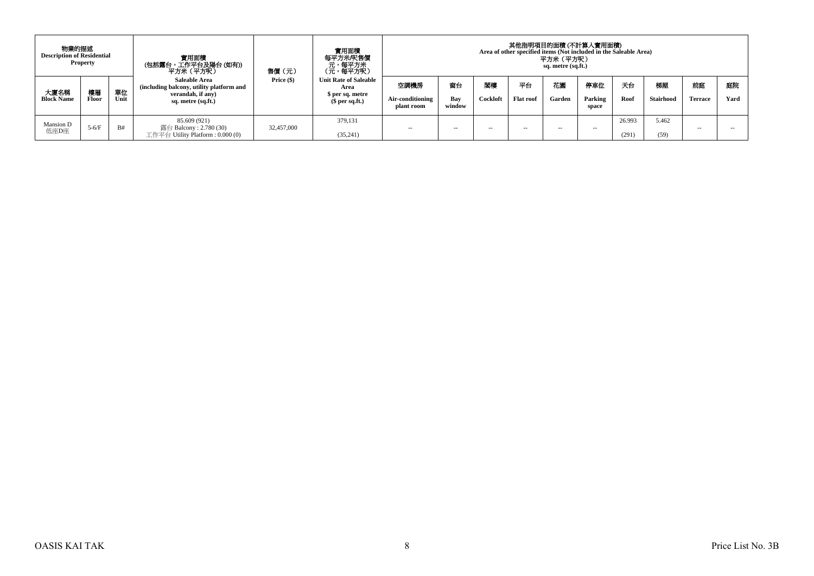| 物業的描述<br><b>Description of Residential</b> | <b>Property</b> |            | 實用面積<br>(包括露台,工作平台及陽台(如有))<br>平方米(平方呎)                                                                      | 售價(元)      | 實用面積<br>每平方米/呎售價<br>、元<br>(元,每平方米)<br>(元,每平方呎)                              | 其他指明項目的面積 (不計算入實用面積)<br>Area of other specified items (Not included in the Saleable Area)<br>平方米(平方呎)<br>sq. metre (sq.ft.) |                     |                |                        |              |                         |                 |                 |               |            |  |
|--------------------------------------------|-----------------|------------|-------------------------------------------------------------------------------------------------------------|------------|-----------------------------------------------------------------------------|-----------------------------------------------------------------------------------------------------------------------------|---------------------|----------------|------------------------|--------------|-------------------------|-----------------|-----------------|---------------|------------|--|
| 大廈名稱<br><b>Block Name</b>                  | 樓層<br>Floor     | 單位<br>Unit | <b>Saleable Area</b><br>(including balcony, utility platform and<br>verandah, if any)<br>sq. metre (sq.ft.) | Price (\$) | <b>Unit Rate of Saleable</b><br>Area<br>\$ per sq. metre<br>$$$ per sq.ft.) | 空調機房<br>Air-conditioning<br>plant room                                                                                      | 窗台<br>Bay<br>window | 閣樓<br>Cockloft | 平台<br><b>Flat roof</b> | 花園<br>Garden | 停車位<br>Parking<br>space | 天台<br>Root      | 梯屋<br>Stairhood | 前庭<br>Terrace | 庭院<br>Yard |  |
| Mansion D<br>低座D座                          | $5-6/F$         | <b>B#</b>  | 85.609 (921)<br>露台 Balcony : 2.780 (30)<br>工作平台 Utility Platform : 0.000 (0)                                | 32,457,000 | 379,131<br>(35,241)                                                         | $- -$                                                                                                                       | $\sim$ $\sim$       | $\sim$         | -                      | $\sim$ $-$   | $\sim$                  | 26.993<br>(291) | 5.462<br>(59)   | -             | --         |  |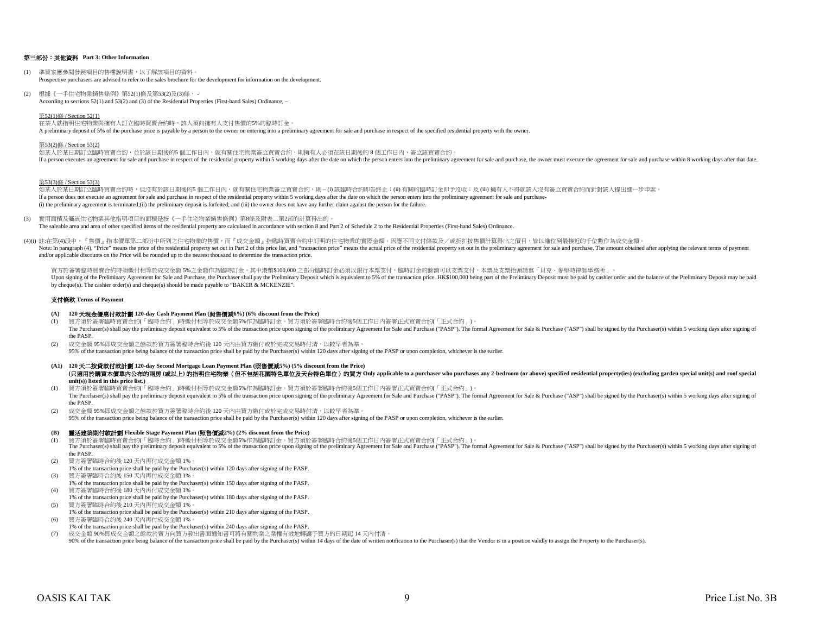#### 第三部份:其他資料 **Part 3: Other Information**

- (1) 準買家應參閱發展項目的售樓說明書,以了解該項目的資料。 Prospective purchasers are advised to refer to the sales brochure for the development for information on the development.
- (2) 根據《一手住宅物業銷售條例》第52(1)條及第53(2)及(3)條, According to sections 52(1) and 53(2) and (3) of the Residential Properties (First-hand Sales) Ordinance, –

#### 第52(1)條 / Section 52(1)

在某人就指明住宅物業與擁有人訂立臨時買賣合約時,該人須向擁有人支付售價的5%的臨時訂金。 A preliminary deposit of 5% of the purchase price is payable by a person to the owner on entering into a preliminary agreement for sale and purchase in respect of the specified residential property with the owner.

#### 第53(2)條 / Section 53(2)

如某人於某日期訂立臨時買賣合約,並於該日期後的5 個工作日內,就有關住宅物業簽立買賣合約,則擁有人必須在該日期後的8個工作日內,簽立該買賣合約。 If a person executes an agreement for sale and purchase in respect of the residential property within 5 working days after the date on which the person enters into the preliminary agreement for sale and purchase, the owner

第53(3)條 / Section 53(3)

如某人於某日期訂立臨時買賣合約時,但沒有於該日期後的5 個工作日内,就有關住宅物業簽立買賣合約,則 – (i) 該臨時合約即告終止;(ii) 有關的臨時訂金即予沒收;及 (iii) 擁有人不得就該人沒有簽立買賣合約而針對該人提出進一步申索。 If a person does not execute an agreement for sale and purchase in respect of the residential property within 5 working days after the date on which the person enters into the preliminary agreement for sale and purchase-(i) the preliminary agreement is terminated;(ii) the preliminary deposit is forfeited; and (iii) the owner does not have any further claim against the person for the failure.

- (3) 實用面積及屬該住宅物業其他指明項目的面積是按《一手住宅物業銷售條例》第8條及附表二第2部的計算得出的。 The saleable area and area of other specified items of the residential property are calculated in accordance with section 8 and Part 2 of Schedule 2 to the Residential Properties (First-hand Sales) Ordinance.
- (4)(i) 註:在第(4)段中,『售價』指本價單第二部份中所列之住宅物業的售價,而『成交金額』指臨時買賣合約中訂明的住宅物業的實際金額。因應不同支付條款及/或折扣按售價計算得出之價目,皆以進位到最接近的千位數作為成交金額。 Note: In paragraph (4), "Price" means the price of the residential property set out in Part 2 of this price list, and "transaction price" means the actual price of the residential property set out in the preliminary agreem and/or applicable discounts on the Price will be rounded up to the nearest thousand to determine the transaction price.

買方於簽署臨時買賣合約時須繳付相等於成交金額5%之金額作為臨時訂金,其中港幣\$100,000 之部分臨時訂金必須以銀行本票支付,臨時訂金的餘額可以支票支付,本票及支票抬頭請寫「貝克·麥堅時律師事務所」。 Upon signing of the Preliminary Agreement for Sale and Purchase, the Purchaser shall pay the Preliminary Deposit which is equivalent to 5% of the transaction price. HK\$100,000 being part of the Preliminary Deposit mast be by cheque(s). The cashier order(s) and cheque(s) should be made payable to "BAKER & MCKENZIE".

#### 支付條款 **Terms of Payment**

#### **(A) 120** 天現金優惠付款計劃 **120-day Cash Payment Plan (**照售價減**6%) (6% discount from the Price)**

- (1) 買方須於簽署臨時買賣合約(「臨時合約」)時繳付相等於成交金額5%作為臨時訂金。買方須於簽署臨時合約後5個工作日內簽署正式買賣合約(「正式合約」)。 The Purchaser(s) shall pay the preliminary deposit equivalent to 5% of the transaction price upon signing of the preliminary Agreement for Sale and Purchase ("PASP"). The formal Agreement for Sale & Purchase ("ASP") shall the PASP.
- (2) 成交金額 95%即成交金額之餘款於買方簽署臨時合約後 120 天內由買方繳付或於完成交易時付清,以較早者為準。 95% of the transaction price being balance of the transaction price shall be paid by the Purchaser(s) within 120 days after signing of the PASP or upon completion, whichever is the earlier.
- **(A1) 120** 天二按貸款付款計劃 **120-day Second Mortgage Loan Payment Plan (**照售價減**5%) (5% discount from the Price)** (只適用於講買本價單内公布的兩房 (或以上)的指明住宅物業 (但不包括花園特色單位及天台特色單位) 的買方 Only applicable to a purchaser who purchases any 2-bedroom (or above) specified residential property(ies) (excluding garden special unit(s) and roof special **unit(s)) listed in this price list.)**
- (1) 買方須於簽署臨時買賣合約(「臨時合約」)時繳付相等於成交金額5%作為臨時訂金。買方須於簽署臨時合約後5個工作日內簽署正式買賣合約(「正式合約」)。 The Purchaser(s) shall pay the preliminary deposit equivalent to 5% of the transaction price upon signing of the preliminary Agreement for Sale and Purchase ("PASP"). The formal Agreement for Sale & Purchase ("ASP") shall the PASP.
- (2) 成交金額 95%即成交金額之餘款於買方簽署臨時合約後 120 天內由買方繳付或於完成交易時付清,以較早者為準。
- 95% of the transaction price being balance of the transaction price shall be paid by the Purchaser(s) within 120 days after signing of the PASP or upon completion, whichever is the earlier.

#### **(B)** 靈活建築期付款計劃 **Flexible Stage Payment Plan (**照售價減**2%) (2% discount from the Price)**

- 
- (1) 買方須於簽署臨時買賣合約(「臨時合約」)時繳付相等於成交金額5%作為臨時訂金。買方須於簽署臨時合約後5個工作日内簽署正式買賣合約(「正式合約」)。<br>The Purchaser(s) shall pay the preliminary deposit equivalent to 5% of the transaction price upon signing of the preliminary Agreement for Sale the PASP.
- (2) 買方簽署臨時合約後 120 天內再付成交金額 1%。
- 1% of the transaction price shall be paid by the Purchaser(s) within 120 days after signing of the PASP. (3) 買方簽署臨時合約後 150 天內再付成交金額 1%。
- 1% of the transaction price shall be paid by the Purchaser(s) within 150 days after signing of the PASP.
- (4) 買方簽署臨時合約後 180 天內再付成交金額 1%。 1% of the transaction price shall be paid by the Purchaser(s) within 180 days after signing of the PASP.
- (5) 買方簽署臨時合約後 210 天內再付成交金額 1%。
- 1% of the transaction price shall be paid by the Purchaser(s) within 210 days after signing of the PASP.
- (6) 買方簽署臨時合約後 240 天內再付成交金額 1%。
- 1% of the transaction price shall be paid by the Purchaser(s) within 240 days after signing of the PASP.
- (7) 成交金額 90%即成交金額之餘款於賣方向買方發出書面通知書可將有關物業之業權有效地轉讓予買方的日期起 14 天內付清。 90% of the transaction price being balance of the transaction price shall be paid by the Purchaser(s) within 14 days of the date of written notification to the Purchaser(s) that the Vendor is in a position validly to assig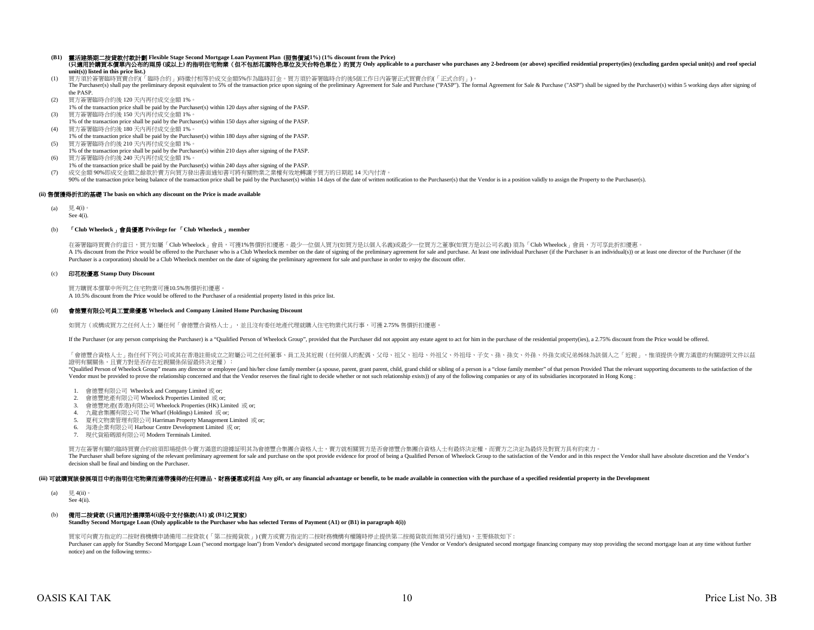#### **(B1)** 靈活建築期二按貸款付款計劃 **Flexible Stage Second Mortgage Loan Payment Plan (**照售價減**1%) (1% discount from the Price)** (只適用於講買本價單內公布的兩房 (或以上)的指明住宅物業 (但不包括花園特色單位及天台特色單位) 的買方 Only applicable to a purchaser who purchases any 2-bedroom (or above) specified residential property(ies) (excluding garden special unit(s) and roof special **unit(s)) listed in this price list.)**

- (1) 買方須於簽署臨時買賣合約(「臨時合約」)時繳付相等於成交金額5%作為臨時訂金。買方須於簽署臨時合約後5個工作日內簽署正式買賣合約(「正式合約」)。 The Purchaser(s) shall pay the preliminary deposit equivalent to 5% of the transaction price upon signing of the preliminary Agreement for Sale and Purchase ("PASP"). The formal Agreement for Sale & Purchase ("ASP") shall
- the PASP.
- (2) 買方簽署臨時合約後 120 天內再付成交金額 1%。
- 1% of the transaction price shall be paid by the Purchaser(s) within 120 days after signing of the PASP. (3) 買方簽署臨時合約後 150 天內再付成交金額 1%。
- 1% of the transaction price shall be paid by the Purchaser(s) within 150 days after signing of the PASP.
- (4) 買方簽署臨時合約後 180 天內再付成交金額 1%。 1% of the transaction price shall be paid by the Purchaser(s) within 180 days after signing of the PASP.
- (5) 買方簽署臨時合約後 210 天內再付成交金額 1%。
- 1% of the transaction price shall be paid by the Purchaser(s) within 210 days after signing of the PASP. (6) 買方簽署臨時合約後 240 天內再付成交金額 1%。
- 1% of the transaction price shall be paid by the Purchaser(s) within 240 days after signing of the PASP.
- (7) 成交金額 90%即成交金額之餘款於賣方向買方發出書面通知書可將有關物業之業權有效地轉讓予買方的日期起 14 天內付清。
- 90% of the transaction price being balance of the transaction price shall be paid by the Purchaser(s) within 14 days of the date of written notification to the Purchaser(s) that the Vendor is in a position validly to assig

## **(ii)** 售價獲得折扣的基礎 **The basis on which any discount on the Price is made available**

- (a) 見 4(i)
- See  $4(i)$ .

## (b) 「**Club Wheelock**」會員優惠 **Privilege for** 「**Club Wheelock**」**member**

A 1% discount from the Price would be offered to the Purchaser who is a Club Wheelock member on the date of signing of the preliminary agreement for sale and purchase. At least one individual Purchaser (if the Purchaser is Purchaser is a corporation) should be a Club Wheelock member on the date of signing the preliminary agreement for sale and purchase in order to enjoy the discount offer. 在簽署臨時買賣合約當日,買方如屬「Club Wheelock」會員,可獲1%售價折扣優惠。最少一位個人買方(如買方是以個人名義)或最少一位買方之董事(如買方是以公司名義)須為「Club Wheelock」會員,方可享此折扣優惠。

#### (c) 印花稅優惠 **Stamp Duty Discount**

買方購買本價單中所列之住宅物業可獲10.5%售價折扣優惠。 A 10.5% discount from the Price would be offered to the Purchaser of a residential property listed in this price list.

#### (d) 會德豐有限公司員工置業優惠 **Wheelock and Company Limited Home Purchasing Discount**

如買方(或構成買方之任何人士)屬任何「會德豐合資格人士」,並且沒有委任地產代理就購入住宅物業代其行事,可獲 2.75% 售價折扣優惠。

If the Purchaser (or any person comprising the Purchaser) is a "Qualified Person of Wheelock Group", provided that the Purchaser did not appoint any estate agent to act for him in the purchase of the residential property(i

「會德豐合資格人士」指任何下列公司或其在香港註冊成立之附屬公司之任何董事、員工及其近親(任何個人的配偶、父母、祖父、祖母、外祖父、外祖母、子女、孫、孫女、外孫、外孫女或兄弟姊妹為該個人之「近親」,惟須提供令賣方滿意的有關證明文件以茲 證明有關關係,且賣方對是否存在近親關係保留最終決定權):

"Qualified Person of Wheelock Group" means any director or employee (and his/her close family member (a spouse, parent, grant parant, child, grand child or sibling of a person is a "close family member" of that person Frov Vendor must be provided to prove the relationship concerned and that the Vendor reserves the final right to decide whether or not such relationship exists)) of any of the following companies or any of its subsidiaries inco

- 1. 會德豐有限公司 Wheelock and Company Limited 或 or;
- 2. 會德豐地產有限公司 Wheelock Properties Limited 或 or;
- 3. 會德豐地產(香港)有限公司 Wheelock Properties (HK) Limited 或 or;
- 4. 九龍倉集團有限公司 The Wharf (Holdings) Limited 或 or;
- 5. 夏利文物業管理有限公司 Harriman Property Management Limited 或 or;
- 6. 海港企業有限公司 Harbour Centre Development Limited 或 or;
- 7. 現代貨箱碼頭有限公司 Modern Terminals Limited.

買方在簽署有關的臨時買賣合約前須即場提供令賣方滿意的證據証明其為會德豐合集團合資格人士,賣方就相關買方是否會德豐合集團合資格人士有最終決定權,而賣方之決定為最終及對買方具有約束力。 The Purchaser shall before signing of the relevant preliminary agreement for sale and purchase on the spot provide evidence for proof of being a Qualified Person of Wheelock Group to the satisfaction of the Vendor and in t decision shall be final and binding on the Purchaser.

#### (iii) 可就購買該發展項目中的指明住宅物業而連帶獲得的任何贈品、財務優惠或利益 Any gift, or any financial advantage or benefit, to be made available in connection with the purchase of a specified residential property in the Development

- (a)  $\quad \equiv 4$ (ii)
- See 4(ii).

# (b) 備用二按貸款 **(**只適用於選擇第**4(i)**段中支付條款**(A1)** 或 **(B1)**之買家**)**

**Standby Second Mortgage Loan (Only applicable to the Purchaser who has selected Terms of Payment (A1) or (B1) in paragraph 4(i))**

買家可向賣方指定的二按財務機構申請備用二按貸款 (「第二按揭貨款」) (賣方或賣方指定的二按財務機構有權隨時停止提供第二按揭貨款而無須另行通知),主要條款如下 :

Purchaser can apply for Standby Second Mortgage Loan ("second mortgage loan") from Vendor's designated second mortgage financing company (the Vendor or Vendor's designated second mortgage financing company may stop providi notice) and on the following terms:-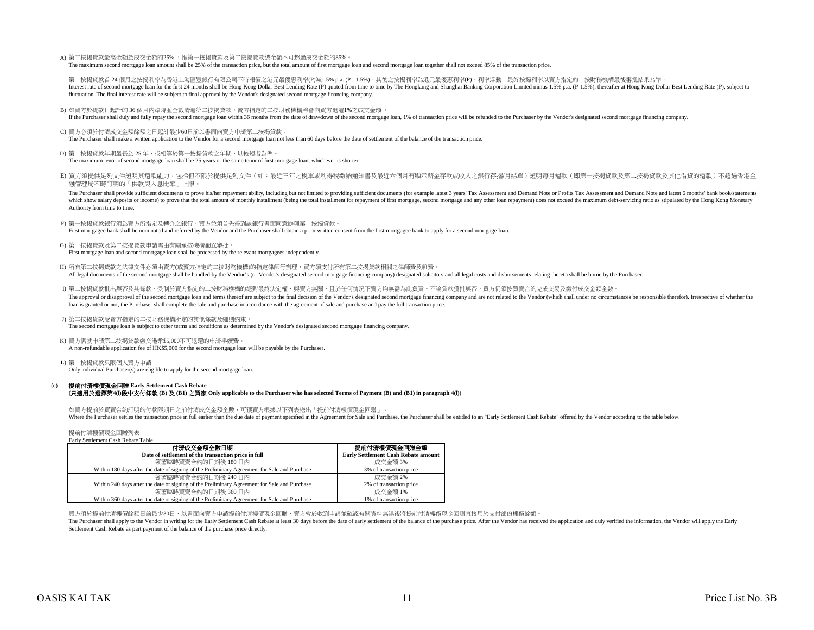A) 第二按揭貸款最高金額為成交金額的25% ,惟第一按揭貸款及第二按揭貸款總金額不可超過成交金額的85%。 The maximum second mortgage loan amount shall be 25% of the transaction price, but the total amount of first mortgage loan and second mortgage loan together shall not exceed 85% of the transaction price.

第二按揭貸款首 24 個月之按揭利率為香港上海匯豐銀行有限公司不時報價之港元最優惠利率(P)減1.5% p.a. (P - 1.5%),其後之按揭利率為港元最優惠利率(P),利率浮動。最終按揭利率以賣方指定的二按財務機構最後審批結果為準。 Interest rate of second mortgage loan for the first 24 months shall be Hong Kong Dollar Best Lending Rate (P) quoted from time to time by The Hongkong and Shanghai Banking Corporation Limited minus 1.5% p.a. (P-1.5%), ther fluctuation. The final interest rate will be subject to final approval by the Vendor's designated second mortgage financing company.

B) 如買方於提款日起計的 36 個月內準時並全數清還第二按揭貸款,賣方指定的二按財務機構將會向買方退還1%之成交金額 。

If the Purchaser shall duly and fully repay the second mortgage loan within 36 months from the date of drawdown of the second mortgage loan, 1% of transaction price will be refunded to the Purchaser by the Vendor's designa

- C) 買方必須於付清成交金額餘額之日起計最少60日前以書面向賣方申請第二按揭貸款。 The Purchaser shall make a written application to the Vendor for a second mortgage loan not less than 60 days before the date of settlement of the balance of the transaction price.
- D) 第二按揭貸款年期最長為 25 年,或相等於第一按揭貸款之年期,以較短者為準。 The maximum tenor of second mortgage loan shall be 25 years or the same tenor of first mortgage loan, whichever is shorter.
- E) 買方須提供足夠文件證明其還款能力,包括但不限於提供足夠文件(如:最近三年之稅單或利得稅繳納通知書及最近六個月有顯示薪金存款或收入之銀行存摺/月結單)證明每月還款(即第一按揭貸款及第二按揭貸款及其他借貸的還款)不超過香港金 融管理局不時訂明的「供款與入息比率」上限。

The Purchaser shall provide sufficient documents to prove his/her repayment ability, including but not limited to providing sufficient documents (for example latest 3 years' Tax Assessment and Demand Note or Profits Tax As which show salary deposits or income) to prove that the total amount of monthly installment (being the total installment for repayment of first mortgage, second mortgage and any other loan repayment) does not exceed the ma Authority from time to time.

- F) 第一按揭貸款銀行須為賣方所指定及轉介之銀行,買方並須首先得到該銀行書面同意辦理第二按揭貸款。 First mortgagee bank shall be nominated and referred by the Vendor and the Purchaser shall obtain a prior written consent from the first mortgagee bank to apply for a second mortgage loan.
- G) 第一按揭貸款及第二按揭貸款申請需由有關承按機構獨立審批。 First mortgage loan and second mortgage loan shall be processed by the relevant mortgagees independently.
- H) 所有第二按揭貸款之法律文件必須由賣方(或賣方指定的二按財務機構)的指定律師行辦理,買方須支付所有第二按揭貸款相關之律師費及雜費。 All legal documents of the second mortgage shall be handled by the Vendor's (or Vendor's corpedor's designated second mortgage financing company) designated solicitors and all legal costs and disbursements relating thereto
- I) 第二按揭貸款批出與否及其條款,受制於賣方指定的二按財務機構的絕對最終決定權,與賣方無關,且於任何情況下賣方均無需為此負責。不論貸款獲批與否,買方仍須按買賣合約完成交易及繳付成交金額全數。 The approval or disapproval of the second mortgage loan and terms thereof are subject to the final decision of the Vendor's designated second mortgage financing company and are not related to the Vendor (which shall under loan is granted or not, the Purchaser shall complete the sale and purchase in accordance with the agreement of sale and purchase and pay the full transaction price.
- J) 第二按揭貨款受賣方指定的二按財務機構所定的其他條款及細則約束。

The second mortgage loan is subject to other terms and conditions as determined by the Vendor's designated second mortgage financing company.

- K) 買方需就申請第二按揭貸款繳交港幣\$5,000不可退還的申請手續費。 A non-refundable application fee of HK\$5,000 for the second mortgage loan will be payable by the Purchaser.
- L) 第二按揭貸款只限個人買方申請。 Only individual Purchaser(s) are eligible to apply for the second mortgage loan.

#### $(c)$ 提前付清樓價現金回贈 **Early Settlement Cash Rebate**

#### **(**只適用於選擇第**4(i)**段中支付條款 **(B)** 及 **(B1)** 之買家 **Only applicable to the Purchaser who has selected Terms of Payment (B) and (B1) in paragraph 4(i))**

如買方提前於買賣合約訂明的付款限期日之前付清成交金額全數,可獲賣方根據以下列表送出「提前付清樓價現金回贈」。 Where the Purchaser settles the transaction price in full earlier than the due date of payment specified in the Agreement for Sale and Purchase, the Purchaser shall be entitled to an "Early Settlement Cash Rebate" offered

提前付清樓價現金回贈列表 Early Settlement Cash Rebate Table

| Larry Deutennem Cash Rebaie Table                                                            |                                            |
|----------------------------------------------------------------------------------------------|--------------------------------------------|
| 付清成交金額全數日期                                                                                   | 提前付清樓價現金回贈金額                               |
| Date of settlement of the transaction price in full                                          | <b>Early Settlement Cash Rebate amount</b> |
| 簽署臨時買賣合約的日期後 180日內                                                                           | 成交金額 3%                                    |
| Within 180 days after the date of signing of the Preliminary Agreement for Sale and Purchase | 3% of transaction price                    |
| 簽署臨時買賣合約的日期後 240日內                                                                           | 成交金額 2%                                    |
| Within 240 days after the date of signing of the Preliminary Agreement for Sale and Purchase | 2% of transaction price                    |
| 簽署臨時買賣合約的日期後 360日內                                                                           | 成交金額 1%                                    |
| Within 360 days after the date of signing of the Preliminary Agreement for Sale and Purchase | 1% of transaction price                    |

買方須於提前付清樓價餘額日前最少30日,以書面向賣方申請提前付清樓價現金回贈,賣方會於收到申請並確認有關資料無誤後將提前付清樓價現金回贈直接用於支付部份樓價餘額。

The Purchaser shall apply to the Vendor in writing for the Early Settlement Cash Rebate at least 30 days before the date of early settlement of the balance of the purchase price. After the Vendor has received the applicati Settlement Cash Rebate as part payment of the balance of the purchase price directly.